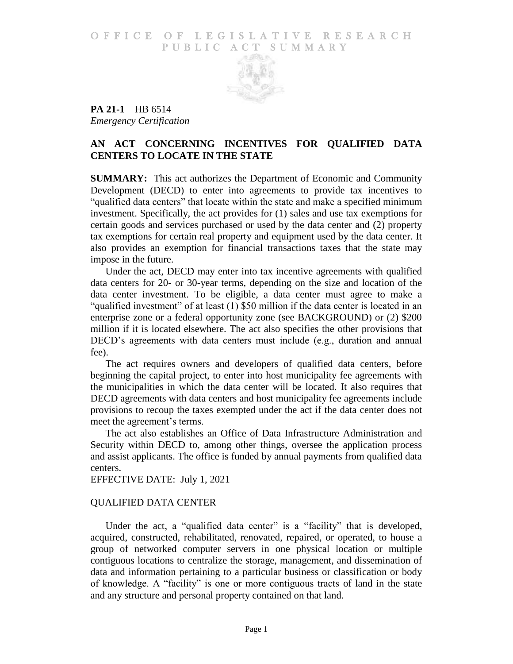### O F FICE OF LEGISLATIVE RESEARCH PUBLIC ACT SUMMARY



**PA 21-1**—HB 6514 *Emergency Certification*

# **AN ACT CONCERNING INCENTIVES FOR QUALIFIED DATA CENTERS TO LOCATE IN THE STATE**

**SUMMARY:** This act authorizes the Department of Economic and Community Development (DECD) to enter into agreements to provide tax incentives to "qualified data centers" that locate within the state and make a specified minimum investment. Specifically, the act provides for (1) sales and use tax exemptions for certain goods and services purchased or used by the data center and (2) property tax exemptions for certain real property and equipment used by the data center. It also provides an exemption for financial transactions taxes that the state may impose in the future.

Under the act, DECD may enter into tax incentive agreements with qualified data centers for 20- or 30-year terms, depending on the size and location of the data center investment. To be eligible, a data center must agree to make a "qualified investment" of at least (1) \$50 million if the data center is located in an enterprise zone or a federal opportunity zone (see BACKGROUND) or (2) \$200 million if it is located elsewhere. The act also specifies the other provisions that DECD's agreements with data centers must include (e.g., duration and annual fee).

The act requires owners and developers of qualified data centers, before beginning the capital project, to enter into host municipality fee agreements with the municipalities in which the data center will be located. It also requires that DECD agreements with data centers and host municipality fee agreements include provisions to recoup the taxes exempted under the act if the data center does not meet the agreement's terms.

The act also establishes an Office of Data Infrastructure Administration and Security within DECD to, among other things, oversee the application process and assist applicants. The office is funded by annual payments from qualified data centers.

EFFECTIVE DATE: July 1, 2021

# QUALIFIED DATA CENTER

Under the act, a "qualified data center" is a "facility" that is developed, acquired, constructed, rehabilitated, renovated, repaired, or operated, to house a group of networked computer servers in one physical location or multiple contiguous locations to centralize the storage, management, and dissemination of data and information pertaining to a particular business or classification or body of knowledge. A "facility" is one or more contiguous tracts of land in the state and any structure and personal property contained on that land.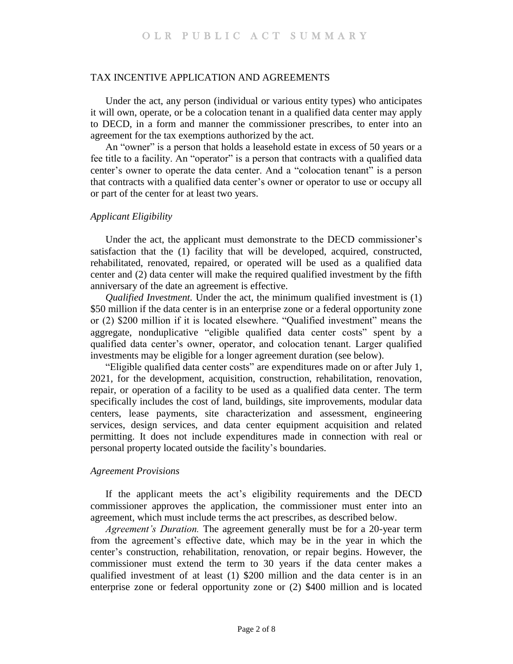#### TAX INCENTIVE APPLICATION AND AGREEMENTS

Under the act, any person (individual or various entity types) who anticipates it will own, operate, or be a colocation tenant in a qualified data center may apply to DECD, in a form and manner the commissioner prescribes, to enter into an agreement for the tax exemptions authorized by the act.

An "owner" is a person that holds a leasehold estate in excess of 50 years or a fee title to a facility. An "operator" is a person that contracts with a qualified data center's owner to operate the data center. And a "colocation tenant" is a person that contracts with a qualified data center's owner or operator to use or occupy all or part of the center for at least two years.

### *Applicant Eligibility*

Under the act, the applicant must demonstrate to the DECD commissioner's satisfaction that the (1) facility that will be developed, acquired, constructed, rehabilitated, renovated, repaired, or operated will be used as a qualified data center and (2) data center will make the required qualified investment by the fifth anniversary of the date an agreement is effective.

*Qualified Investment.* Under the act, the minimum qualified investment is (1) \$50 million if the data center is in an enterprise zone or a federal opportunity zone or (2) \$200 million if it is located elsewhere. "Qualified investment" means the aggregate, nonduplicative "eligible qualified data center costs" spent by a qualified data center's owner, operator, and colocation tenant. Larger qualified investments may be eligible for a longer agreement duration (see below).

"Eligible qualified data center costs" are expenditures made on or after July 1, 2021, for the development, acquisition, construction, rehabilitation, renovation, repair, or operation of a facility to be used as a qualified data center. The term specifically includes the cost of land, buildings, site improvements, modular data centers, lease payments, site characterization and assessment, engineering services, design services, and data center equipment acquisition and related permitting. It does not include expenditures made in connection with real or personal property located outside the facility's boundaries.

### *Agreement Provisions*

If the applicant meets the act's eligibility requirements and the DECD commissioner approves the application, the commissioner must enter into an agreement, which must include terms the act prescribes, as described below.

*Agreement's Duration.* The agreement generally must be for a 20-year term from the agreement's effective date, which may be in the year in which the center's construction, rehabilitation, renovation, or repair begins. However, the commissioner must extend the term to 30 years if the data center makes a qualified investment of at least (1) \$200 million and the data center is in an enterprise zone or federal opportunity zone or (2) \$400 million and is located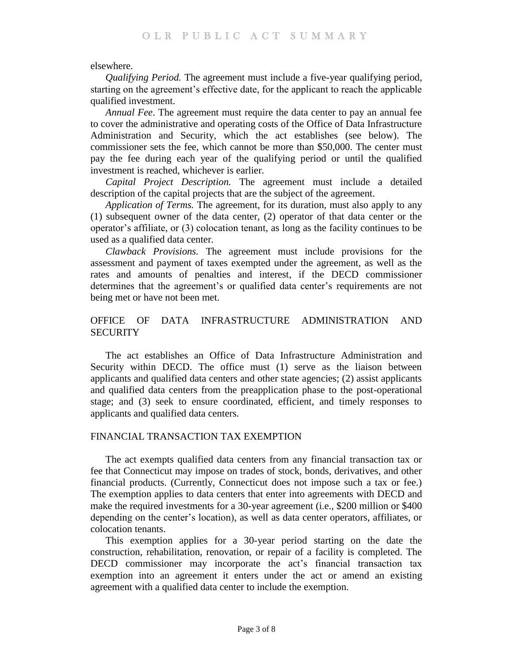elsewhere.

*Qualifying Period.* The agreement must include a five-year qualifying period, starting on the agreement's effective date, for the applicant to reach the applicable qualified investment.

*Annual Fee*. The agreement must require the data center to pay an annual fee to cover the administrative and operating costs of the Office of Data Infrastructure Administration and Security, which the act establishes (see below). The commissioner sets the fee, which cannot be more than \$50,000. The center must pay the fee during each year of the qualifying period or until the qualified investment is reached, whichever is earlier.

*Capital Project Description.* The agreement must include a detailed description of the capital projects that are the subject of the agreement.

*Application of Terms.* The agreement, for its duration, must also apply to any (1) subsequent owner of the data center, (2) operator of that data center or the operator's affiliate, or (3) colocation tenant, as long as the facility continues to be used as a qualified data center.

*Clawback Provisions.* The agreement must include provisions for the assessment and payment of taxes exempted under the agreement, as well as the rates and amounts of penalties and interest, if the DECD commissioner determines that the agreement's or qualified data center's requirements are not being met or have not been met.

# OFFICE OF DATA INFRASTRUCTURE ADMINISTRATION AND **SECURITY**

The act establishes an Office of Data Infrastructure Administration and Security within DECD. The office must (1) serve as the liaison between applicants and qualified data centers and other state agencies; (2) assist applicants and qualified data centers from the preapplication phase to the post-operational stage; and (3) seek to ensure coordinated, efficient, and timely responses to applicants and qualified data centers.

### FINANCIAL TRANSACTION TAX EXEMPTION

The act exempts qualified data centers from any financial transaction tax or fee that Connecticut may impose on trades of stock, bonds, derivatives, and other financial products. (Currently, Connecticut does not impose such a tax or fee.) The exemption applies to data centers that enter into agreements with DECD and make the required investments for a 30-year agreement (i.e., \$200 million or \$400 depending on the center's location), as well as data center operators, affiliates, or colocation tenants.

This exemption applies for a 30-year period starting on the date the construction, rehabilitation, renovation, or repair of a facility is completed. The DECD commissioner may incorporate the act's financial transaction tax exemption into an agreement it enters under the act or amend an existing agreement with a qualified data center to include the exemption.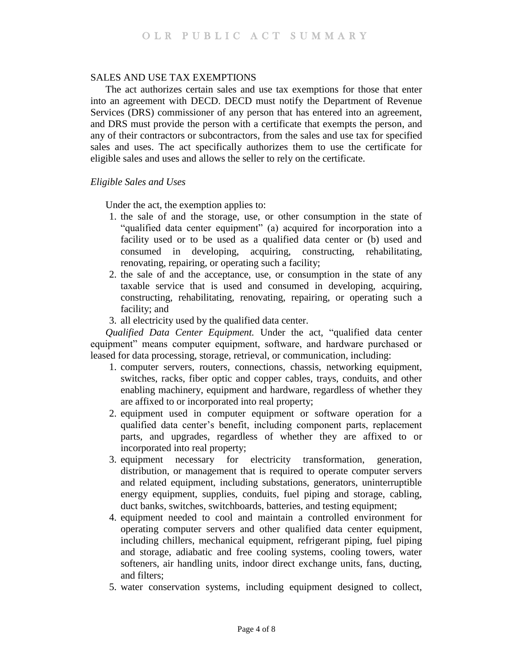### SALES AND USE TAX EXEMPTIONS

The act authorizes certain sales and use tax exemptions for those that enter into an agreement with DECD. DECD must notify the Department of Revenue Services (DRS) commissioner of any person that has entered into an agreement, and DRS must provide the person with a certificate that exempts the person, and any of their contractors or subcontractors, from the sales and use tax for specified sales and uses. The act specifically authorizes them to use the certificate for eligible sales and uses and allows the seller to rely on the certificate.

### *Eligible Sales and Uses*

Under the act, the exemption applies to:

- 1. the sale of and the storage, use, or other consumption in the state of "qualified data center equipment" (a) acquired for incorporation into a facility used or to be used as a qualified data center or (b) used and consumed in developing, acquiring, constructing, rehabilitating, renovating, repairing, or operating such a facility;
- 2. the sale of and the acceptance, use, or consumption in the state of any taxable service that is used and consumed in developing, acquiring, constructing, rehabilitating, renovating, repairing, or operating such a facility; and
- 3. all electricity used by the qualified data center.

*Qualified Data Center Equipment.* Under the act, "qualified data center equipment" means computer equipment, software, and hardware purchased or leased for data processing, storage, retrieval, or communication, including:

- 1. computer servers, routers, connections, chassis, networking equipment, switches, racks, fiber optic and copper cables, trays, conduits, and other enabling machinery, equipment and hardware, regardless of whether they are affixed to or incorporated into real property;
- 2. equipment used in computer equipment or software operation for a qualified data center's benefit, including component parts, replacement parts, and upgrades, regardless of whether they are affixed to or incorporated into real property;
- 3. equipment necessary for electricity transformation, generation, distribution, or management that is required to operate computer servers and related equipment, including substations, generators, uninterruptible energy equipment, supplies, conduits, fuel piping and storage, cabling, duct banks, switches, switchboards, batteries, and testing equipment;
- 4. equipment needed to cool and maintain a controlled environment for operating computer servers and other qualified data center equipment, including chillers, mechanical equipment, refrigerant piping, fuel piping and storage, adiabatic and free cooling systems, cooling towers, water softeners, air handling units, indoor direct exchange units, fans, ducting, and filters;
- 5. water conservation systems, including equipment designed to collect,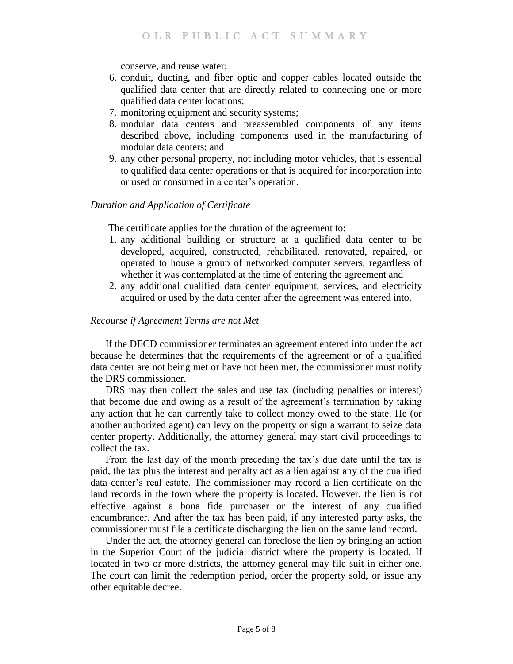conserve, and reuse water;

- 6. conduit, ducting, and fiber optic and copper cables located outside the qualified data center that are directly related to connecting one or more qualified data center locations;
- 7. monitoring equipment and security systems;
- 8. modular data centers and preassembled components of any items described above, including components used in the manufacturing of modular data centers; and
- 9. any other personal property, not including motor vehicles, that is essential to qualified data center operations or that is acquired for incorporation into or used or consumed in a center's operation.

### *Duration and Application of Certificate*

The certificate applies for the duration of the agreement to:

- 1. any additional building or structure at a qualified data center to be developed, acquired, constructed, rehabilitated, renovated, repaired, or operated to house a group of networked computer servers, regardless of whether it was contemplated at the time of entering the agreement and
- 2. any additional qualified data center equipment, services, and electricity acquired or used by the data center after the agreement was entered into.

### *Recourse if Agreement Terms are not Met*

If the DECD commissioner terminates an agreement entered into under the act because he determines that the requirements of the agreement or of a qualified data center are not being met or have not been met, the commissioner must notify the DRS commissioner.

DRS may then collect the sales and use tax (including penalties or interest) that become due and owing as a result of the agreement's termination by taking any action that he can currently take to collect money owed to the state. He (or another authorized agent) can levy on the property or sign a warrant to seize data center property. Additionally, the attorney general may start civil proceedings to collect the tax.

From the last day of the month preceding the tax's due date until the tax is paid, the tax plus the interest and penalty act as a lien against any of the qualified data center's real estate. The commissioner may record a lien certificate on the land records in the town where the property is located. However, the lien is not effective against a bona fide purchaser or the interest of any qualified encumbrancer. And after the tax has been paid, if any interested party asks, the commissioner must file a certificate discharging the lien on the same land record.

Under the act, the attorney general can foreclose the lien by bringing an action in the Superior Court of the judicial district where the property is located. If located in two or more districts, the attorney general may file suit in either one. The court can limit the redemption period, order the property sold, or issue any other equitable decree.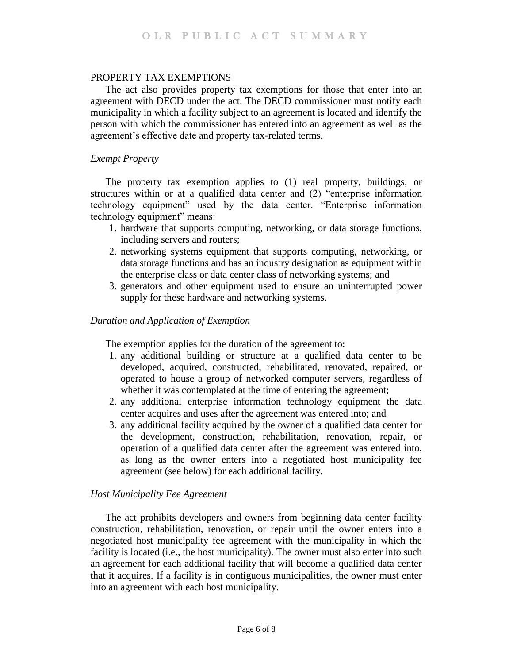### PROPERTY TAX EXEMPTIONS

The act also provides property tax exemptions for those that enter into an agreement with DECD under the act. The DECD commissioner must notify each municipality in which a facility subject to an agreement is located and identify the person with which the commissioner has entered into an agreement as well as the agreement's effective date and property tax-related terms.

### *Exempt Property*

The property tax exemption applies to (1) real property, buildings, or structures within or at a qualified data center and (2) "enterprise information technology equipment" used by the data center. "Enterprise information technology equipment" means:

- 1. hardware that supports computing, networking, or data storage functions, including servers and routers;
- 2. networking systems equipment that supports computing, networking, or data storage functions and has an industry designation as equipment within the enterprise class or data center class of networking systems; and
- 3. generators and other equipment used to ensure an uninterrupted power supply for these hardware and networking systems.

#### *Duration and Application of Exemption*

The exemption applies for the duration of the agreement to:

- 1. any additional building or structure at a qualified data center to be developed, acquired, constructed, rehabilitated, renovated, repaired, or operated to house a group of networked computer servers, regardless of whether it was contemplated at the time of entering the agreement;
- 2. any additional enterprise information technology equipment the data center acquires and uses after the agreement was entered into; and
- 3. any additional facility acquired by the owner of a qualified data center for the development, construction, rehabilitation, renovation, repair, or operation of a qualified data center after the agreement was entered into, as long as the owner enters into a negotiated host municipality fee agreement (see below) for each additional facility.

### *Host Municipality Fee Agreement*

The act prohibits developers and owners from beginning data center facility construction, rehabilitation, renovation, or repair until the owner enters into a negotiated host municipality fee agreement with the municipality in which the facility is located (i.e., the host municipality). The owner must also enter into such an agreement for each additional facility that will become a qualified data center that it acquires. If a facility is in contiguous municipalities, the owner must enter into an agreement with each host municipality.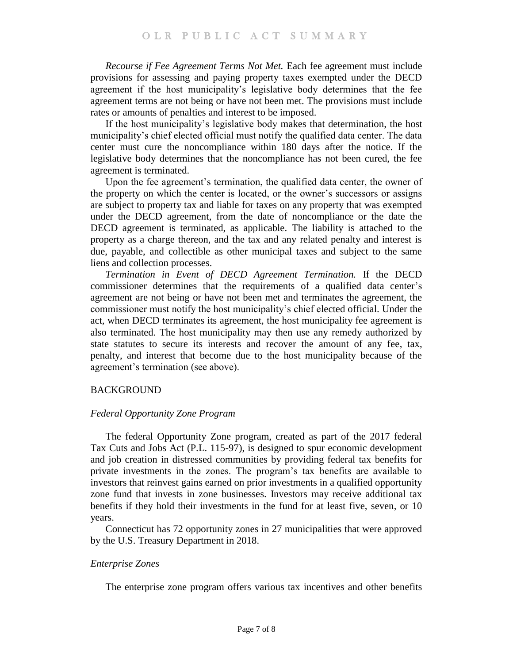*Recourse if Fee Agreement Terms Not Met.* Each fee agreement must include provisions for assessing and paying property taxes exempted under the DECD agreement if the host municipality's legislative body determines that the fee agreement terms are not being or have not been met. The provisions must include rates or amounts of penalties and interest to be imposed.

If the host municipality's legislative body makes that determination, the host municipality's chief elected official must notify the qualified data center. The data center must cure the noncompliance within 180 days after the notice. If the legislative body determines that the noncompliance has not been cured, the fee agreement is terminated.

Upon the fee agreement's termination, the qualified data center, the owner of the property on which the center is located, or the owner's successors or assigns are subject to property tax and liable for taxes on any property that was exempted under the DECD agreement, from the date of noncompliance or the date the DECD agreement is terminated, as applicable. The liability is attached to the property as a charge thereon, and the tax and any related penalty and interest is due, payable, and collectible as other municipal taxes and subject to the same liens and collection processes.

*Termination in Event of DECD Agreement Termination.* If the DECD commissioner determines that the requirements of a qualified data center's agreement are not being or have not been met and terminates the agreement, the commissioner must notify the host municipality's chief elected official. Under the act, when DECD terminates its agreement, the host municipality fee agreement is also terminated. The host municipality may then use any remedy authorized by state statutes to secure its interests and recover the amount of any fee, tax, penalty, and interest that become due to the host municipality because of the agreement's termination (see above).

# BACKGROUND

# *Federal Opportunity Zone Program*

The federal Opportunity Zone program, created as part of the 2017 federal Tax Cuts and Jobs Act (P.L. 115-97), is designed to spur economic development and job creation in distressed communities by providing federal tax benefits for private investments in the zones. The program's tax benefits are available to investors that reinvest gains earned on prior investments in a qualified opportunity zone fund that invests in zone businesses. Investors may receive additional tax benefits if they hold their investments in the fund for at least five, seven, or 10 years.

Connecticut has 72 opportunity zones in 27 municipalities that were approved by the U.S. Treasury Department in 2018.

# *Enterprise Zones*

The enterprise zone program offers various tax incentives and other benefits